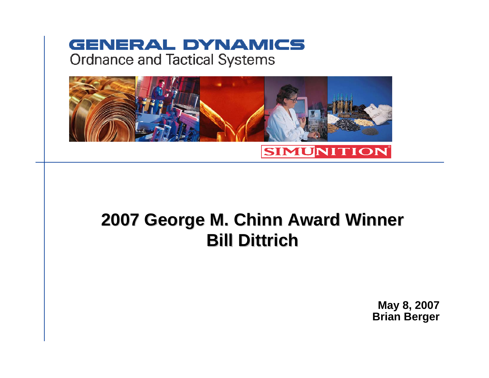### **GENERAL DYNAMICS Ordnance and Tactical Systems**



# **2007 George M. Chinn Award Winner 2007 George M. Chinn Award Winner Bill Dittrich Bill Dittrich**

**May 8, 2007 Brian Berger**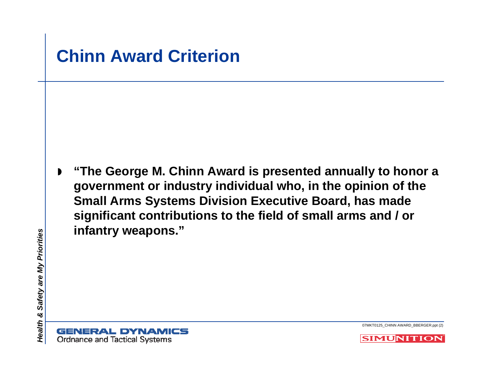



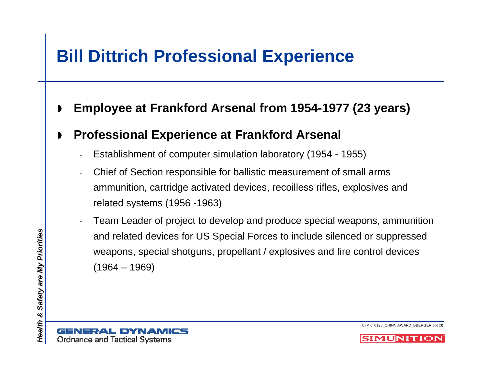### **Bill Dittrich Professional Experience**

 $\blacksquare$ **Employee at Frankford Arsenal from 1954-1977 (23 years)**

#### $\blacksquare$ **Professional Experience at Frankford Arsenal**

- -Establishment of computer simulation laboratory (1954 - 1955)
- - Chief of Section responsible for ballistic measurement of small arms ammunition, cartridge activated devices, recoilless rifles, explosives and related systems (1956 -1963)
- Team Leader of project to develop and produce special weapons, ammunition and related devices for US Special Forces to include silenced or suppressed weapons, special shotguns, propellant / explosives and fire control devices  $(1964 - 1969)$

-



07MKT0125\_CHINN AWARD\_BBERGER.ppt (3)

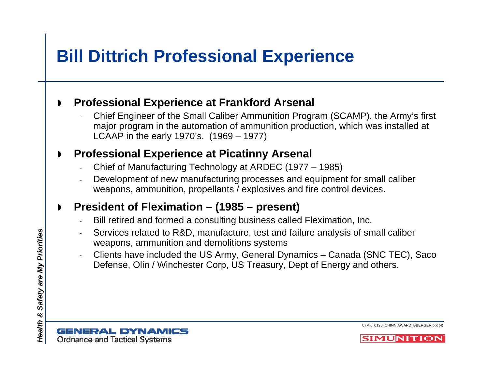### **Bill Dittrich Professional Experience**

#### $\blacksquare$ **Professional Experience at Frankford Arsenal**

 Chief Engineer of the Small Caliber Ammunition Program (SCAMP), the Army's first major program in the automation of ammunition production, which was installed at LCAAP in the early 1970's. (1969 – 1977)

#### $\blacksquare$ **Professional Experience at Picatinny Arsenal**

- Chief of Manufacturing Technology at ARDEC (1977 1985)
- Development of new manufacturing processes and equipment for small caliber weapons, ammunition, propellants / explosives and fire control devices.

#### $\blacksquare$ **President of Fleximation – (1985 – present)**

- Bill retired and formed a consulting business called Fleximation, Inc.
- Services related to R&D, manufacture, test and failure analysis of small caliber weapons, ammunition and demolitions systems
- Clients have included the US Army, General Dynamics Canada (SNC TEC), Saco Defense, Olin / Winchester Corp, US Treasury, Dept of Energy and others.



07MKT0125\_CHINN AWARD\_BBERGER.ppt (4)

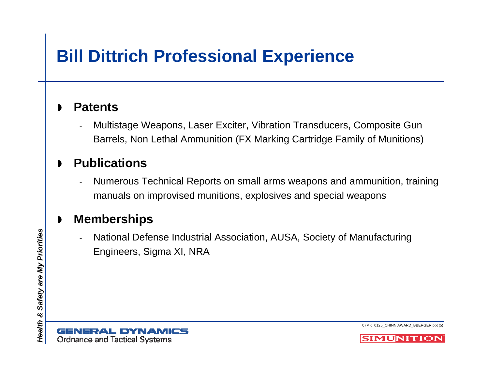### **Bill Dittrich Professional Experience**

#### $\blacksquare$ **Patents**

- Multistage Weapons, Laser Exciter, Vibration Transducers, Composite Gun Barrels, Non Lethal Ammunition (FX Marking Cartridge Family of Munitions)

### $\blacksquare$ **Publications**

- Numerous Technical Reports on small arms weapons and ammunition, training manuals on improvised munitions, explosives and special weapons

#### $\blacksquare$ **Memberships**

- National Defense Industrial Association, AUSA, Society of Manufacturing Engineers, Sigma XI, NRA

**GENERAL DYNAMICS Ordnance and Tactical Systems** 

07MKT0125\_CHINN AWARD\_BBERGER.ppt (5)

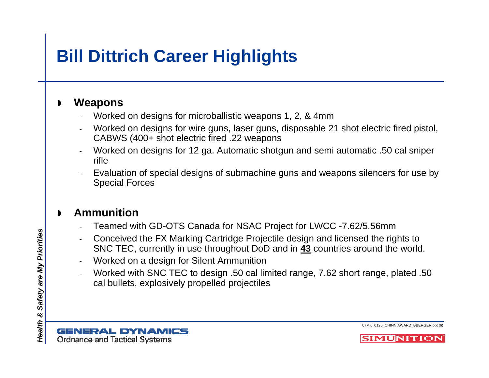# **Bill Dittrich Career Highlights**

#### $\blacksquare$ **Weapons**

- Worked on designs for microballistic weapons 1, 2, & 4mm
- Worked on designs for wire guns, laser guns, disposable 21 shot electric fired pistol, CABWS (400+ shot electric fired .22 weapons
- Worked on designs for 12 ga. Automatic shotgun and semi automatic .50 cal sniper rifle
- Evaluation of special designs of submachine guns and weapons silencers for use by Special Forces

#### $\blacksquare$ **Ammunition**

- Teamed with GD-OTS Canada for NSAC Project for LWCC -7.62/5.56mm
- Conceived the FX Marking Cartridge Projectile design and licensed the rights to SNC TEC, currently in use throughout DoD and in **43** countries around the world.
- Worked on a design for Silent Ammunition
- Worked with SNC TEC to design .50 cal limited range, 7.62 short range, plated .50 cal bullets, explosively propelled projectiles

**GENERAL DYNAMICS Ordnance and Tactical Systems** 

07MKT0125\_CHINN AWARD\_BBERGER.ppt (6)

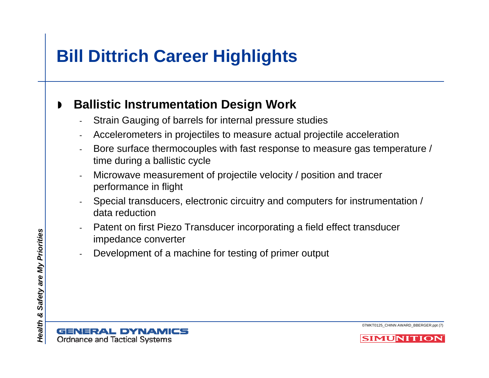# **Bill Dittrich Career Highlights**

#### $\blacktriangleright$ **Ballistic Instrumentation Design Work**

- -Strain Gauging of barrels for internal pressure studies
- -Accelerometers in projectiles to measure actual projectile acceleration
- - Bore surface thermocouples with fast response to measure gas temperature / time during a ballistic cycle
- - Microwave measurement of projectile velocity / position and tracer performance in flight
- - Special transducers, electronic circuitry and computers for instrumentation / data reduction
- - Patent on first Piezo Transducer incorporating a field effect transducer impedance converter
- -Development of a machine for testing of primer output



07MKT0125\_CHINN AWARD\_BBERGER.ppt (7)

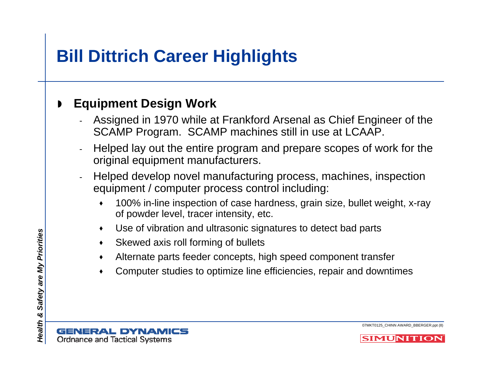# **Bill Dittrich Career Highlights**

### $\blacksquare$ **Equipment Design Work**

- - Assigned in 1970 while at Frankford Arsenal as Chief Engineer of the SCAMP Program. SCAMP machines still in use at LCAAP.
- - Helped lay out the entire program and prepare scopes of work for the original equipment manufacturers.
- - Helped develop novel manufacturing process, machines, inspection equipment / computer process control including:
	- $\blacklozenge$  100% in-line inspection of case hardness, grain size, bullet weight, x-ray of powder level, tracer intensity, etc.
	- $\blacklozenge$ Use of vibration and ultrasonic signatures to detect bad parts
	- $\bullet$ Skewed axis roll forming of bullets
	- $\blacklozenge$ Alternate parts feeder concepts, high speed component transfer
	- ٠ Computer studies to optimize line efficiencies, repair and downtimes

**GENERAL DYNAMICS Ordnance and Tactical Systems** 

07MKT0125\_CHINN AWARD\_BBERGER.ppt (8)

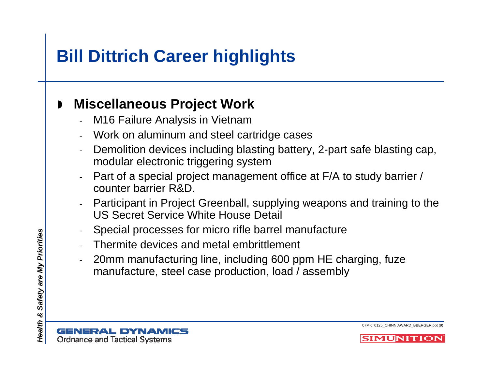# **Bill Dittrich Career highlights**

### $\blacksquare$ **Miscellaneous Project Work**

- -M16 Failure Analysis in Vietnam
- -Work on aluminum and steel cartridge cases
- - Demolition devices including blasting battery, 2-part safe blasting cap, modular electronic triggering system
- - Part of a special project management office at F/A to study barrier / counter barrier R&D.
- - Participant in Project Greenball, supplying weapons and training to the US Secret Service White House Detail
- -Special processes for micro rifle barrel manufacture
- -Thermite devices and metal embrittlement
- - 20mm manufacturing line, including 600 ppm HE charging, fuze manufacture, steel case production, load / assembly

07MKT0125\_CHINN AWARD\_BBERGER.ppt (9)